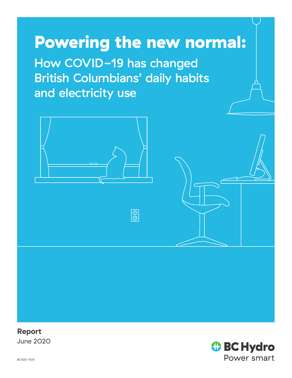# Powering the new normal:

How COVID-19 has changed British Columbians' daily habits and electricity use

 $\boxed{\circledcirc}$ 



**Report** June 2020

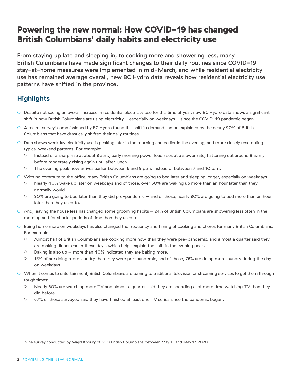# Powering the new normal: How COVID-19 has changed British Columbians' daily habits and electricity use

From staying up late and sleeping in, to cooking more and showering less, many British Columbians have made significant changes to their daily routines since COVID-19 stay-at-home measures were implemented in mid-March, and while residential electricity use has remained average overall, new BC Hydro data reveals how residential electricity use patterns have shifted in the province.

## **Highlights**

- Despite not seeing an overall increase in residential electricity use for this time of year, new BC Hydro data shows a significant shift in how British Columbians are using electricity – especially on weekdays – since the COVID-19 pandemic began.
- $\circ$  A recent survey<sup>1</sup> commissioned by BC Hydro found this shift in demand can be explained by the nearly 90% of British Columbians that have drastically shifted their daily routines.
- Data shows weekday electricity use is peaking later in the morning and earlier in the evening, and more closely resembling typical weekend patterns. For example:
	- Instead of a sharp rise at about 8 a.m., early morning power load rises at a slower rate, flattening out around 9 a.m., before moderately rising again until after lunch.
	- The evening peak now arrives earlier between 6 and 9 p.m. instead of between 7 and 10 p.m.
- With no commute to the office, many British Columbians are going to bed later and sleeping longer, especially on weekdays.
	- Nearly 40% wake up later on weekdays and of those, over 60% are waking up more than an hour later than they normally would.
	- 30% are going to bed later than they did pre-pandemic and of those, nearly 80% are going to bed more than an hour later than they used to.
- And, leaving the house less has changed some grooming habits 24% of British Columbians are showering less often in the morning and for shorter periods of time than they used to.
- Being home more on weekdays has also changed the frequency and timing of cooking and chores for many British Columbians. For example:
	- Almost half of British Columbians are cooking more now than they were pre-pandemic, and almost a quarter said they are making dinner earlier these days, which helps explain the shift in the evening peak.
	- Baking is also up more than 40% indicated they are baking more.
	- 15% of are doing more laundry than they were pre-pandemic, and of those, 76% are doing more laundry during the day on weekdays.
- When it comes to entertainment, British Columbians are turning to traditional television or streaming services to get them through tough times:
	- Nearly 60% are watching more TV and almost a quarter said they are spending a lot more time watching TV than they did before.
	- 67% of those surveyed said they have finished at least one TV series since the pandemic began.

1 Online survey conducted by Majid Khoury of 500 British Columbians between May 15 and May 17, 2020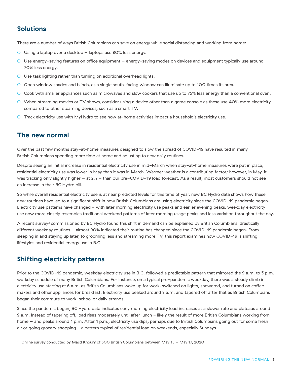### **Solutions**

There are a number of ways British Columbians can save on energy while social distancing and working from home:

- O Using a laptop over a desktop laptops use 80% less energy.
- Use energy-saving features on office equipment energy-saving modes on devices and equipment typically use around 70% less energy.
- O Use task lighting rather than turning on additional overhead lights.
- Open window shades and blinds, as a single south-facing window can illuminate up to 100 times its area.
- Cook with smaller appliances such as microwaves and slow cookers that use up to 75% less energy than a conventional oven.
- When streaming movies or TV shows, consider using a device other than a game console as these use 40% more electricity compared to other steaming devices, such as a smart TV.
- Track electricity use with MyHydro to see how at-home activities impact a household's electricity use.

#### **The new normal**

Over the past few months stay-at-home measures designed to slow the spread of COVID-19 have resulted in many British Columbians spending more time at home and adjusting to new daily routines.

Despite seeing an initial increase in residential electricity use in mid-March when stay-at-home measures were put in place, residential electricity use was lower in May than it was in March. Warmer weather is a contributing factor; however, in May, it was tracking only slightly higher – at 2% – than our pre-COVID-19 load forecast. As a result, most customers should not see an increase in their BC Hydro bill.

So while overall residential electricity use is at near predicted levels for this time of year, new BC Hydro data shows how these new routines have led to a significant shift in how British Columbians are using electricity since the COVID-19 pandemic began. Electricity use patterns have changed - with later morning electricity use peaks and earlier evening peaks, weekday electricity use now more closely resembles traditional weekend patterns of later morning usage peaks and less variation throughout the day.

A recent survey $^{\rm 2}$  commissioned by BC Hydro found this shift in demand can be explained by British Columbians' drastically different weekday routines – almost 90% indicated their routine has changed since the COVID-19 pandemic began. From sleeping in and staying up later, to grooming less and streaming more TV, this report examines how COVID-19 is shifting lifestyles and residential energy use in B.C.

## **Shifting electricity patterns**

Prior to the COVID-19 pandemic, weekday electricity use in B.C. followed a predictable pattern that mirrored the 9 a.m. to 5 p.m. workday schedule of many British Columbians. For instance, on a typical pre-pandemic weekday, there was a steady climb in electricity use starting at 6 a.m. as British Columbians woke up for work, switched on lights, showered, and turned on coffee makers and other appliances for breakfast. Electricity use peaked around 8 a.m. and tapered off after that as British Columbians began their commute to work, school or daily errands.

Since the pandemic began, BC Hydro data indicates early morning electricity load increases at a slower rate and plateaus around 9 a.m. Instead of tapering off, load rises moderately until after lunch - likely the result of more British Columbians working from home – and peaks around 1 p.m. After 1 p.m., electricity use dips, perhaps due to British Columbians going out for some fresh air or going grocery shopping - a pattern typical of residential load on weekends, especially Sundays.

 $^{\rm 2} \;$  Online survey conducted by Majid Khoury of 500 British Columbians between May 15 – May 17, 2020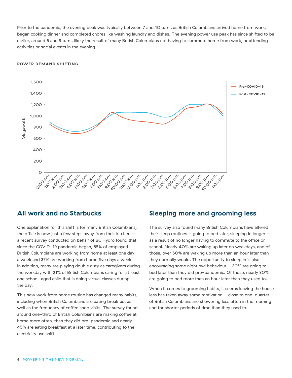Prior to the pandemic, the evening peak was typically between 7 and 10 p.m., as British Columbians arrived home from work, began cooking dinner and completed chores like washing laundry and dishes. The evening power use peak has since shifted to be earlier, around 6 and 9 p.m., likely the result of many British Columbians not having to commute home from work, or attending activities or social events in the evening.

#### **POWER DEMAND SHIFTING**



#### **All work and no Starbucks**

One explanation for this shift is for many British Columbians, the office is now just a few steps away from their kitchen – a recent survey conducted on behalf of BC Hydro found that since the COVID-19 pandemic began, 65% of employed British Columbians are working from home at least one day a week and 37% are working from home five days a week. In addition, many are playing double duty as caregivers during the workday with 21% of British Columbians caring for at least one school-aged child that is doing virtual classes during the day.

This new work from home routine has changed many habits, including when British Columbians are eating breakfast as well as the frequency of coffee shop visits. The survey found around one-third of British Columbians are making coffee at home more often than they did pre-pandemic and nearly 45% are eating breakfast at a later time, contributing to the electricity use shift.

#### **Sleeping more and grooming less**

The survey also found many British Columbians have altered their sleep routines – going to bed later, sleeping in longer – as a result of no longer having to commute to the office or school. Nearly 40% are waking up later on weekdays, and of those, over 60% are waking up more than an hour later than they normally would. The opportunity to sleep in is also encouraging some night owl behaviour – 30% are going to bed later than they did pre-pandemic. Of those, nearly 80% are going to bed more than an hour later than they used to.

When it comes to grooming habits, it seems leaving the house less has taken away some motivation – close to one-quarter of British Columbians are showering less often in the morning and for shorter periods of time than they used to.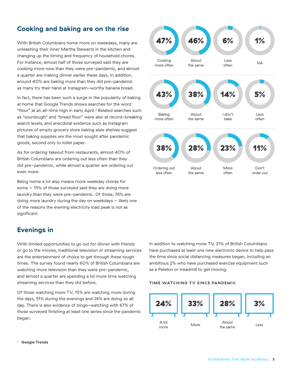## **Cooking and baking are on the rise**

With British Columbians home more on weekdays, many are unleashing their inner Martha Stewarts in the kitchen and changing up the timing and frequency of household chores. For instance, almost half of those surveyed said they are cooking more now than they were pre-pandemic, and almost a quarter are making dinner earlier these days. In addition, around 40% are baking more than they did pre-pandemic as many try their hand at Instagram-worthy banana bread.

In fact, there has been such a surge in the popularity of baking at home that Google Trends shows searches for the word "flour" at an all-time high in early April.3 Related searches such as "sourdough" and "bread flour" were also at record-breaking search levels, and anecdotal evidence such as Instagram pictures of empty grocery store baking aisle shelves suggest that baking supplies are the most sought after pandemic goods, second only to toilet paper.

As for ordering takeout from restaurants, almost 40% of British Columbians are ordering out less often than they did pre-pandemic, while almost a quarter are ordering out even more.

Being home a lot also means more weekday chores for some – 15% of those surveyed said they are doing more laundry than they were pre-pandemic. Of those, 76% are doing more laundry during the day on weekdays – likely one of the reasons the evening electricity load peak is not as significant.

## **Evenings in**

With limited opportunities to go out for dinner with friends or go to the movies, traditional television or streaming services are the entertainment of choice to get through these tough times. The survey found nearly 60% of British Columbians are watching more television than they were pre-pandemic, and almost a quarter are spending a lot more time watching streaming services than they did before.

Of those watching more TV, 15% are watching more during the days, 51% during the evenings and 26% are doing so all day. There is also evidence of binge-watching with 67% of those surveyed finishing at least one series since the pandemic began.



In addition to watching more TV, 21% of British Columbians have purchased at least one new electronic device to help pass the time since social distancing measures began, including an ambitious 2% who have purchased exercise equipment such as a Peleton or treadmill to get moving.

#### **TIME WATCHING TV SINCE PANDEMIC**



3 **[Google Trends](https://trends.google.com/trends/explore?q=flour)**